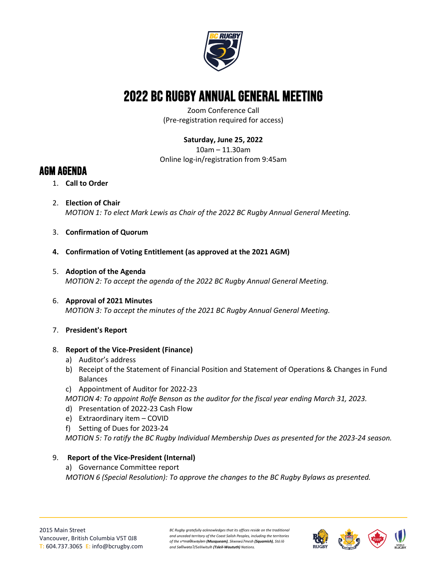

# 2022 BC Rugby Annual General Meeting

Zoom Conference Call (Pre-registration required for access)

# **Saturday, June 25, 2022**

10am – 11.30am Online log-in/registration from 9:45am

# AGM AGENDA

- 1. **Call to Order**
- 2. **Election of Chair** *MOTION 1: To elect Mark Lewis as Chair of the 2022 BC Rugby Annual General Meeting.*
- 3. **Confirmation of Quorum**
- **4. Confirmation of Voting Entitlement (as approved at the 2021 AGM)**
- 5. **Adoption of the Agenda** *MOTION 2: To accept the agenda of the 2022 BC Rugby Annual General Meeting.*
- 6. **Approval of 2021 Minutes** *MOTION 3: To accept the minutes of the 2021 BC Rugby Annual General Meeting.*

#### 7. **President's Report**

- 8. **Report of the Vice-President (Finance)**
	- a) Auditor's address
	- b) Receipt of the Statement of Financial Position and Statement of Operations & Changes in Fund Balances
	- c) Appointment of Auditor for 2022-23
	- *MOTION 4: To appoint Rolfe Benson as the auditor for the fiscal year ending March 31, 2023.*
	- d) Presentation of 2022-23 Cash Flow
	- e) Extraordinary item COVID
	- f) Setting of Dues for 2023-24

*MOTION 5: To ratify the BC Rugby Individual Membership Dues as presented for the 2023-24 season.*

## 9. **Report of the Vice-President (Internal)**

a) Governance Committee report *MOTION 6 (Special Resolution): To approve the changes to the BC Rugby Bylaws as presented.*